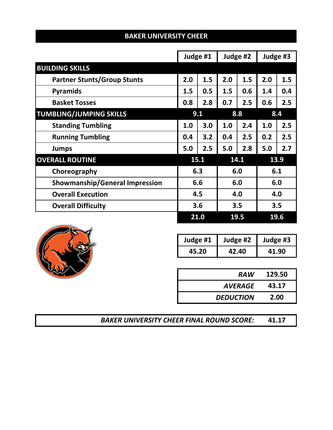|                                       |     | Judge #1   |     | Judge #2 |     | Judge #3 |
|---------------------------------------|-----|------------|-----|----------|-----|----------|
| <b>BUILDING SKILLS</b>                |     |            |     |          |     |          |
| <b>Partner Stunts/Group Stunts</b>    | 2.0 | 1.5        | 2.0 | 1.5      | 2.0 | 1.5      |
| <b>Pyramids</b>                       | 1.5 | 0.5        | 1.5 | 0.6      | 1.4 | 0.4      |
| <b>Basket Tosses</b>                  | 0.8 | 2.8        | 0.7 | 2.5      | 0.6 | 2.5      |
| <b>TUMBLING/JUMPING SKILLS</b>        |     | 9.1        | 8.8 |          | 8.4 |          |
| <b>Standing Tumbling</b>              | 1.0 | 3.0        | 1.0 | 2.4      | 1.0 | 2.5      |
| <b>Running Tumbling</b>               | 0.4 | 3.2        | 0.4 | 2.5      | 0.2 | 2.5      |
| <b>Jumps</b>                          | 5.0 | 2.5        | 5.0 | 2.8      | 5.0 | 2.7      |
| <b>OVERALL ROUTINE</b>                |     | 15.1       |     | 14.1     |     | 13.9     |
| Choreography                          |     | 6.3        |     | 6.0      | 6.1 |          |
| <b>Showmanship/General Impression</b> |     | 6.6<br>6.0 |     |          | 6.0 |          |
| <b>Overall Execution</b>              |     | 4.5        |     | 4.0      |     | 4.0      |
| <b>Overall Difficulty</b>             |     | 3.6        |     | 3.5      |     | 3.5      |
|                                       |     | 21.0       |     | 19.5     |     | 19.6     |





| Judge #1 | Judge #2 | Judge #3 |
|----------|----------|----------|
| 45.20    | 42.40    | 41.90    |

| <b>RAW</b>       | 129.50 |
|------------------|--------|
| <b>AVERAGE</b>   | 43.17  |
| <b>DEDUCTION</b> | 2.00   |

*BAKER UNIVERSITY CHEER FINAL ROUND SCORE:* **41.17**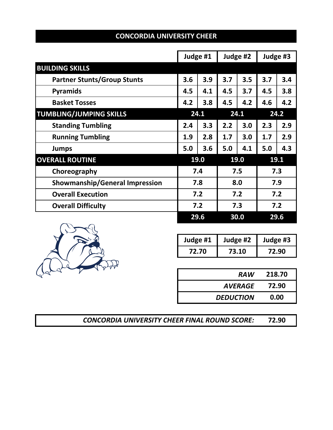|                                       |     | Judge #1 |      | Judge #2 |      | Judge #3 |  |
|---------------------------------------|-----|----------|------|----------|------|----------|--|
| <b>BUILDING SKILLS</b>                |     |          |      |          |      |          |  |
| <b>Partner Stunts/Group Stunts</b>    | 3.6 | 3.9      | 3.7  | 3.5      | 3.7  | 3.4      |  |
| <b>Pyramids</b>                       | 4.5 | 4.1      | 4.5  | 3.7      | 4.5  | 3.8      |  |
| <b>Basket Tosses</b>                  | 4.2 | 3.8      | 4.5  | 4.2      | 4.6  | 4.2      |  |
| <b>TUMBLING/JUMPING SKILLS</b>        |     | 24.1     | 24.1 |          | 24.2 |          |  |
| <b>Standing Tumbling</b>              | 2.4 | 3.3      | 2.2  | 3.0      | 2.3  | 2.9      |  |
| <b>Running Tumbling</b>               | 1.9 | 2.8      | 1.7  | 3.0      | 1.7  | 2.9      |  |
| <b>Jumps</b>                          | 5.0 | 3.6      | 5.0  | 4.1      | 5.0  | 4.3      |  |
| <b>OVERALL ROUTINE</b>                |     | 19.0     |      | 19.0     |      | 19.1     |  |
| Choreography                          |     | 7.4      |      | 7.5      | 7.3  |          |  |
| <b>Showmanship/General Impression</b> |     | 7.8      |      | 8.0      |      | 7.9      |  |
| <b>Overall Execution</b>              |     | 7.2      |      | 7.2      |      | 7.2      |  |
| <b>Overall Difficulty</b>             |     | 7.2      |      | 7.3      |      | 7.2      |  |
|                                       |     | 29.6     |      | 30.0     |      | 29.6     |  |





| Judge #1 | Judge #2 | Judge #3 |
|----------|----------|----------|
| 72.70    | 73.10    | 72.90    |

| <b>RAW</b>       | 218.70 |
|------------------|--------|
| <b>AVERAGE</b>   | 72.90  |
| <b>DEDUCTION</b> | 0.00   |

**72.90** *CONCORDIA UNIVERSITY CHEER FINAL ROUND SCORE:*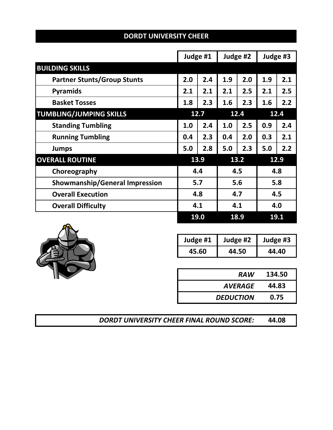|                                       |     | Judge #1   |      | Judge #2 |      | Judge #3 |
|---------------------------------------|-----|------------|------|----------|------|----------|
| <b>BUILDING SKILLS</b>                |     |            |      |          |      |          |
| <b>Partner Stunts/Group Stunts</b>    | 2.0 | 2.4        | 1.9  | 2.0      | 1.9  | 2.1      |
| <b>Pyramids</b>                       | 2.1 | 2.1        | 2.1  | 2.5      | 2.1  | 2.5      |
| <b>Basket Tosses</b>                  | 1.8 | 2.3        | 1.6  | 2.3      | 1.6  | 2.2      |
| <b>TUMBLING/JUMPING SKILLS</b>        |     | 12.7       | 12.4 |          | 12.4 |          |
| <b>Standing Tumbling</b>              | 1.0 | 2.4        | 1.0  | 2.5      | 0.9  | 2.4      |
| <b>Running Tumbling</b>               | 0.4 | 2.3        | 0.4  | 2.0      | 0.3  | 2.1      |
| <b>Jumps</b>                          | 5.0 | 2.8        | 5.0  | 2.3      | 5.0  | 2.2      |
| <b>OVERALL ROUTINE</b>                |     | 13.9       |      | 13.2     |      | 12.9     |
| Choreography                          |     | 4.4<br>4.5 |      |          | 4.8  |          |
| <b>Showmanship/General Impression</b> |     | 5.7        |      | 5.6      |      | 5.8      |
| <b>Overall Execution</b>              |     | 4.8        |      | 4.7      |      | 4.5      |
| <b>Overall Difficulty</b>             |     | 4.1        |      | 4.1      |      | 4.0      |
|                                       |     | 19.0       |      | 18.9     |      | 19.1     |





| Judge #1 | Judge #2 | Judge #3 |
|----------|----------|----------|
| 45.60    | 44.50    | 44.40    |

| <b>RAW</b>       | 134.50 |
|------------------|--------|
| <b>AVERAGE</b>   | 44.83  |
| <b>DEDUCTION</b> | 0.75   |

*DORDT UNIVERSITY CHEER FINAL ROUND SCORE:* **44.08**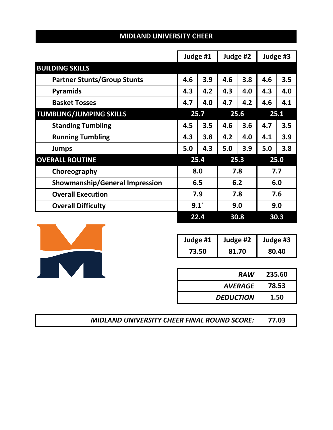|                                       |     | Judge #1 |      | Judge #2 |      | Judge #3 |  |
|---------------------------------------|-----|----------|------|----------|------|----------|--|
| <b>BUILDING SKILLS</b>                |     |          |      |          |      |          |  |
| <b>Partner Stunts/Group Stunts</b>    | 4.6 | 3.9      | 4.6  | 3.8      | 4.6  | 3.5      |  |
| <b>Pyramids</b>                       | 4.3 | 4.2      | 4.3  | 4.0      | 4.3  | 4.0      |  |
| <b>Basket Tosses</b>                  | 4.7 | 4.0      | 4.7  | 4.2      | 4.6  | 4.1      |  |
| <b>TUMBLING/JUMPING SKILLS</b>        |     | 25.7     | 25.6 |          | 25.1 |          |  |
| <b>Standing Tumbling</b>              | 4.5 | 3.5      | 4.6  | 3.6      | 4.7  | 3.5      |  |
| <b>Running Tumbling</b>               | 4.3 | 3.8      | 4.2  | 4.0      | 4.1  | 3.9      |  |
| <b>Jumps</b>                          | 5.0 | 4.3      | 5.0  | 3.9      | 5.0  | 3.8      |  |
| <b>OVERALL ROUTINE</b>                |     | 25.4     |      | 25.3     |      | 25.0     |  |
| Choreography                          |     | 8.0      |      | 7.8      | 7.7  |          |  |
| <b>Showmanship/General Impression</b> |     | 6.5      |      | 6.2      |      | 6.0      |  |
| <b>Overall Execution</b>              |     | 7.9      |      | 7.8      |      | 7.6      |  |
| <b>Overall Difficulty</b>             |     | 9.1      |      | 9.0      |      | 9.0      |  |
|                                       |     | 22.4     |      | 30.8     |      | 30.3     |  |





| Judge #1 | Judge #2 | Judge #3 |
|----------|----------|----------|
| 73.50    | 81.70    | 80.40    |

| <b>RAW</b>       | 235.60 |
|------------------|--------|
| AVERAGE          | 78.53  |
| <b>DEDUCTION</b> | 1.50   |

*MIDLAND UNIVERSITY CHEER FINAL ROUND SCORE:* **77.03**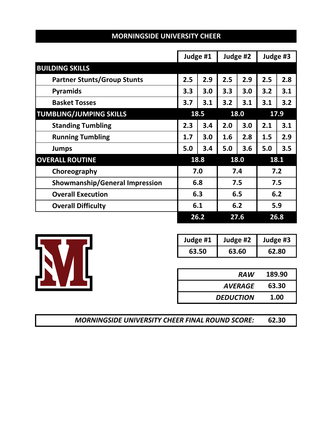|                                       |     | Judge #1 |     | Judge #2 |     | Judge #3 |  |
|---------------------------------------|-----|----------|-----|----------|-----|----------|--|
| <b>BUILDING SKILLS</b>                |     |          |     |          |     |          |  |
| <b>Partner Stunts/Group Stunts</b>    | 2.5 | 2.9      | 2.5 | 2.9      | 2.5 | 2.8      |  |
| <b>Pyramids</b>                       | 3.3 | 3.0      | 3.3 | 3.0      | 3.2 | 3.1      |  |
| <b>Basket Tosses</b>                  | 3.7 | 3.1      | 3.2 | 3.1      | 3.1 | 3.2      |  |
| <b>TUMBLING/JUMPING SKILLS</b>        |     | 18.5     |     | 18.0     |     | 17.9     |  |
| <b>Standing Tumbling</b>              | 2.3 | 3.4      | 2.0 | 3.0      | 2.1 | 3.1      |  |
| <b>Running Tumbling</b>               | 1.7 | 3.0      | 1.6 | 2.8      | 1.5 | 2.9      |  |
| <b>Jumps</b>                          | 5.0 | 3.4      | 5.0 | 3.6      | 5.0 | 3.5      |  |
| <b>OVERALL ROUTINE</b>                |     | 18.8     |     | 18.0     |     | 18.1     |  |
| Choreography                          |     | 7.0      |     | 7.4      |     | 7.2      |  |
| <b>Showmanship/General Impression</b> |     | 6.8      |     | 7.5      |     | 7.5      |  |
| <b>Overall Execution</b>              |     | 6.3      |     | 6.5      |     | 6.2      |  |
| <b>Overall Difficulty</b>             |     | 6.1      |     | 6.2      |     | 5.9      |  |
|                                       |     | 26.2     |     | 27.6     |     | 26.8     |  |





| Judge #1 | Judge #2 | Judge #3 |
|----------|----------|----------|
| 63.50    | 63.60    | 62.80    |

| <b>RAW</b>       | 189.90 |
|------------------|--------|
| AVERAGE          | 63.30  |
| <b>DEDUCTION</b> | 1.00   |

| <b>MORNINGSIDE UNIVERSITY CHEER FINAL ROUND SCORE:</b> | 62.30 |
|--------------------------------------------------------|-------|
|--------------------------------------------------------|-------|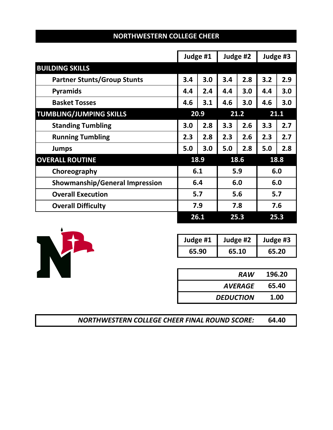|                                       |     | Judge #1 |     | Judge #2 |     | Judge #3 |  |
|---------------------------------------|-----|----------|-----|----------|-----|----------|--|
| <b>BUILDING SKILLS</b>                |     |          |     |          |     |          |  |
| <b>Partner Stunts/Group Stunts</b>    | 3.4 | 3.0      | 3.4 | 2.8      | 3.2 | 2.9      |  |
| <b>Pyramids</b>                       | 4.4 | 2.4      | 4.4 | 3.0      | 4.4 | 3.0      |  |
| <b>Basket Tosses</b>                  | 4.6 | 3.1      | 4.6 | 3.0      | 4.6 | 3.0      |  |
| <b>TUMBLING/JUMPING SKILLS</b>        |     | 20.9     |     | 21.2     |     | 21.1     |  |
| <b>Standing Tumbling</b>              | 3.0 | 2.8      | 3.3 | 2.6      | 3.3 | 2.7      |  |
| <b>Running Tumbling</b>               | 2.3 | 2.8      | 2.3 | 2.6      | 2.3 | 2.7      |  |
| <b>Jumps</b>                          | 5.0 | 3.0      | 5.0 | 2.8      | 5.0 | 2.8      |  |
| <b>OVERALL ROUTINE</b>                |     | 18.9     |     | 18.6     |     | 18.8     |  |
| Choreography                          |     | 6.1      |     | 5.9      |     | 6.0      |  |
| <b>Showmanship/General Impression</b> |     | 6.4      |     | 6.0      |     | 6.0      |  |
| <b>Overall Execution</b>              |     | 5.7      |     | 5.6      |     | 5.7      |  |
| <b>Overall Difficulty</b>             |     | 7.9      |     | 7.8      |     | 7.6      |  |
|                                       |     | 26.1     |     | 25.3     |     | 25.3     |  |





| Judge #1 | Judge #2 | Judge #3 |
|----------|----------|----------|
| 65.90    | 65.10    | 65.20    |

| <b>RAW</b>       | 196.20 |
|------------------|--------|
| AVERAGE          | 65.40  |
| <b>DEDUCTION</b> | 1.00   |

| <b>NORTHWESTERN COLLEGE CHEER FINAL ROUND SCORE:</b> |  | 64.40 |
|------------------------------------------------------|--|-------|
|------------------------------------------------------|--|-------|